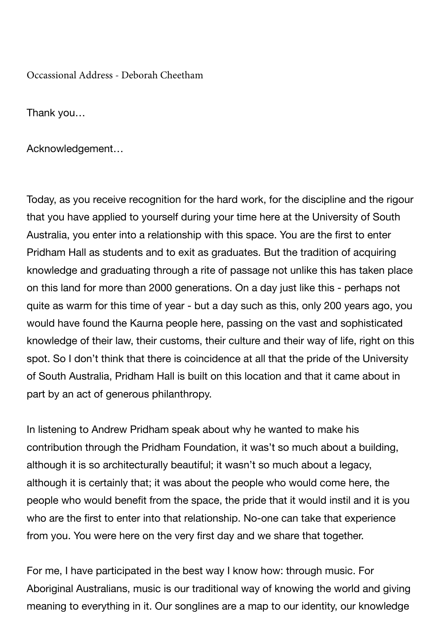Occassional Address - Deborah Cheetham

Thank you…

Acknowledgement…

Today, as you receive recognition for the hard work, for the discipline and the rigour that you have applied to yourself during your time here at the University of South Australia, you enter into a relationship with this space. You are the first to enter Pridham Hall as students and to exit as graduates. But the tradition of acquiring knowledge and graduating through a rite of passage not unlike this has taken place on this land for more than 2000 generations. On a day just like this - perhaps not quite as warm for this time of year - but a day such as this, only 200 years ago, you would have found the Kaurna people here, passing on the vast and sophisticated knowledge of their law, their customs, their culture and their way of life, right on this spot. So I don't think that there is coincidence at all that the pride of the University of South Australia, Pridham Hall is built on this location and that it came about in part by an act of generous philanthropy.

In listening to Andrew Pridham speak about why he wanted to make his contribution through the Pridham Foundation, it was't so much about a building, although it is so architecturally beautiful; it wasn't so much about a legacy, although it is certainly that; it was about the people who would come here, the people who would benefit from the space, the pride that it would instil and it is you who are the first to enter into that relationship. No-one can take that experience from you. You were here on the very first day and we share that together.

For me, I have participated in the best way I know how: through music. For Aboriginal Australians, music is our traditional way of knowing the world and giving meaning to everything in it. Our songlines are a map to our identity, our knowledge